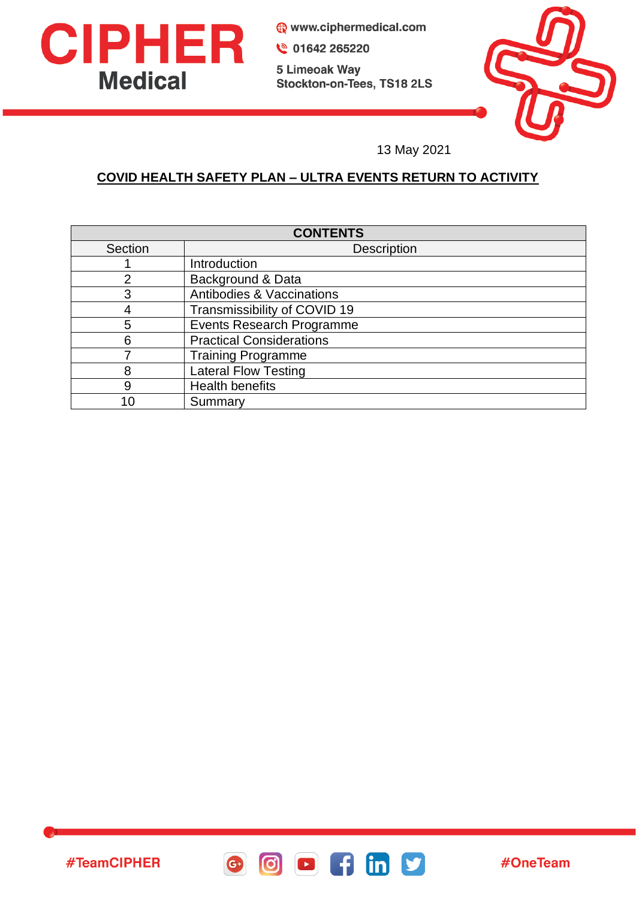

#TeamCIPHER

www.ciphermedical.com

● 01642 265220

5 Limeoak Way Stockton-on-Tees, TS18 2LS



13 May 2021

# **COVID HEALTH SAFETY PLAN – ULTRA EVENTS RETURN TO ACTIVITY**

| <b>CONTENTS</b> |                                      |
|-----------------|--------------------------------------|
| Section         | <b>Description</b>                   |
|                 | Introduction                         |
| $\overline{2}$  | Background & Data                    |
| 3               | <b>Antibodies &amp; Vaccinations</b> |
|                 | Transmissibility of COVID 19         |
| 5               | <b>Events Research Programme</b>     |
| 6               | <b>Practical Considerations</b>      |
|                 | <b>Training Programme</b>            |
| 8               | <b>Lateral Flow Testing</b>          |
| 9               | <b>Health benefits</b>               |
| 1 በ             | Summary                              |

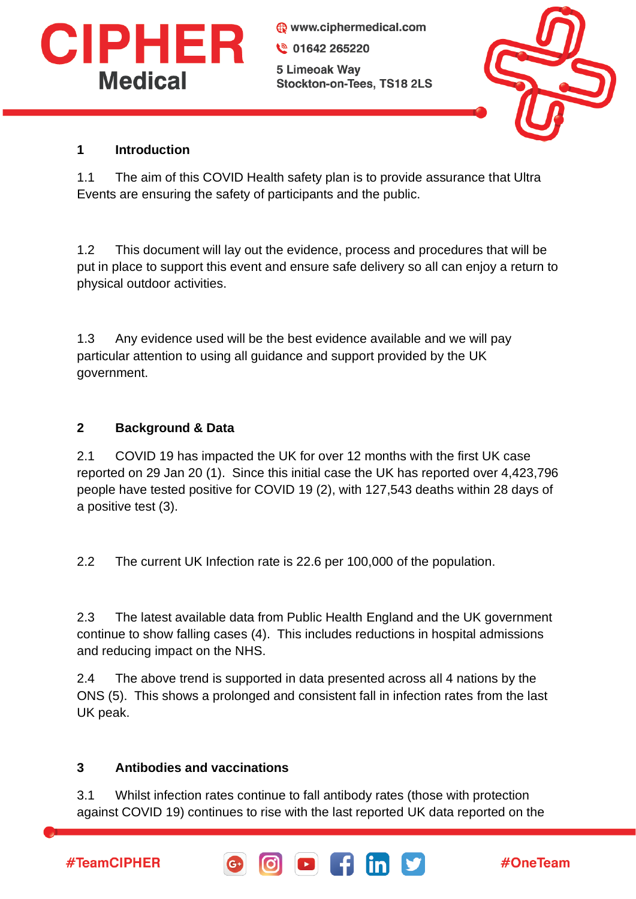

www.ciphermedical.com ₩ 01642 265220 5 Limeoak Way Stockton-on-Tees, TS18 2LS



### **1 Introduction**

1.1 The aim of this COVID Health safety plan is to provide assurance that Ultra Events are ensuring the safety of participants and the public.

1.2 This document will lay out the evidence, process and procedures that will be put in place to support this event and ensure safe delivery so all can enjoy a return to physical outdoor activities.

1.3 Any evidence used will be the best evidence available and we will pay particular attention to using all guidance and support provided by the UK government.

### **2 Background & Data**

2.1 COVID 19 has impacted the UK for over 12 months with the first UK case reported on 29 Jan 20 (1). Since this initial case the UK has reported over 4,423,796 people have tested positive for COVID 19 (2), with 127,543 deaths within 28 days of a positive test (3).

2.2 The current UK Infection rate is 22.6 per 100,000 of the population.

2.3 The latest available data from Public Health England and the UK government continue to show falling cases (4). This includes reductions in hospital admissions and reducing impact on the NHS.

2.4 The above trend is supported in data presented across all 4 nations by the ONS (5). This shows a prolonged and consistent fall in infection rates from the last UK peak.

### **3 Antibodies and vaccinations**

3.1 Whilst infection rates continue to fall antibody rates (those with protection against COVID 19) continues to rise with the last reported UK data reported on the

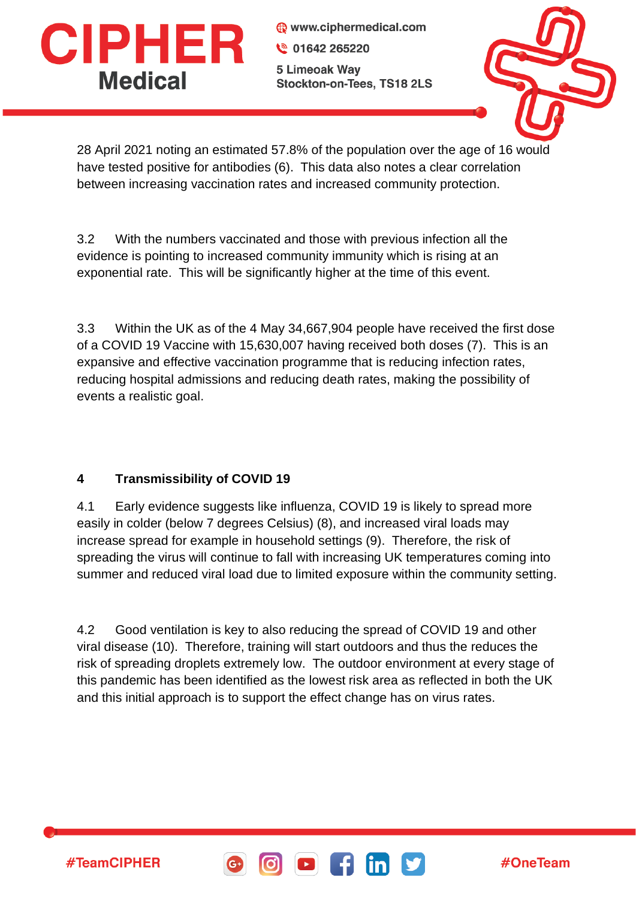

www.ciphermedical.com € 01642 265220 5 Limeoak Way Stockton-on-Tees, TS18 2LS



28 April 2021 noting an estimated 57.8% of the population over the age of 16 would have tested positive for antibodies (6). This data also notes a clear correlation between increasing vaccination rates and increased community protection.

3.2 With the numbers vaccinated and those with previous infection all the evidence is pointing to increased community immunity which is rising at an exponential rate. This will be significantly higher at the time of this event.

3.3 Within the UK as of the 4 May 34,667,904 people have received the first dose of a COVID 19 Vaccine with 15,630,007 having received both doses (7). This is an expansive and effective vaccination programme that is reducing infection rates, reducing hospital admissions and reducing death rates, making the possibility of events a realistic goal.

## **4 Transmissibility of COVID 19**

#TeamCIPHER

4.1 Early evidence suggests like influenza, COVID 19 is likely to spread more easily in colder (below 7 degrees Celsius) (8), and increased viral loads may increase spread for example in household settings (9). Therefore, the risk of spreading the virus will continue to fall with increasing UK temperatures coming into summer and reduced viral load due to limited exposure within the community setting.

4.2 Good ventilation is key to also reducing the spread of COVID 19 and other viral disease (10). Therefore, training will start outdoors and thus the reduces the risk of spreading droplets extremely low. The outdoor environment at every stage of this pandemic has been identified as the lowest risk area as reflected in both the UK and this initial approach is to support the effect change has on virus rates.

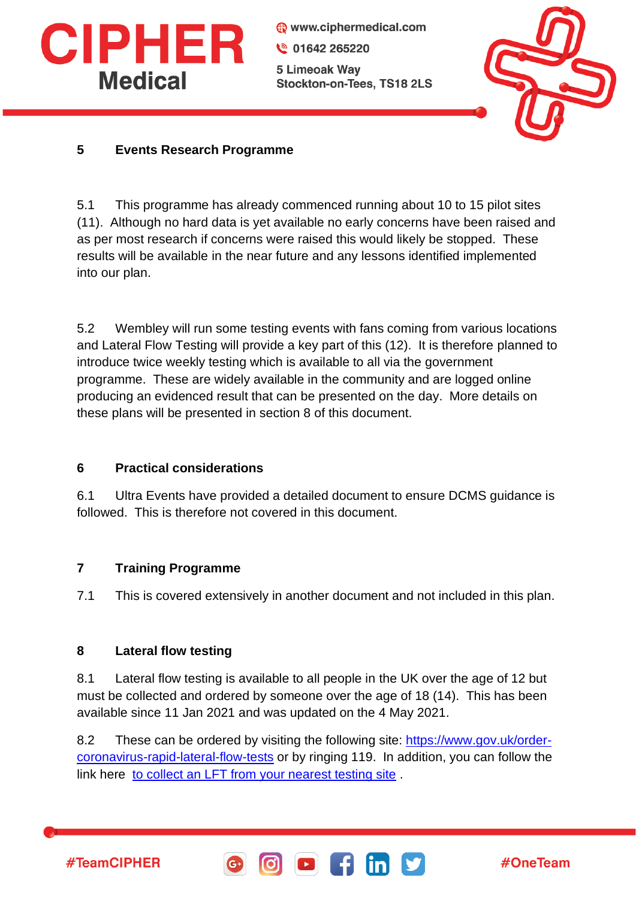

www.ciphermedical.com € 01642 265220 5 Limeoak Way Stockton-on-Tees, TS18 2LS



## **5 Events Research Programme**

5.1 This programme has already commenced running about 10 to 15 pilot sites (11). Although no hard data is yet available no early concerns have been raised and as per most research if concerns were raised this would likely be stopped. These results will be available in the near future and any lessons identified implemented into our plan.

5.2 Wembley will run some testing events with fans coming from various locations and Lateral Flow Testing will provide a key part of this (12). It is therefore planned to introduce twice weekly testing which is available to all via the government programme. These are widely available in the community and are logged online producing an evidenced result that can be presented on the day. More details on these plans will be presented in section 8 of this document.

### **6 Practical considerations**

6.1 Ultra Events have provided a detailed document to ensure DCMS guidance is followed. This is therefore not covered in this document.

#### **7 Training Programme**

7.1 This is covered extensively in another document and not included in this plan.

#### **8 Lateral flow testing**

8.1 Lateral flow testing is available to all people in the UK over the age of 12 but must be collected and ordered by someone over the age of 18 (14). This has been available since 11 Jan 2021 and was updated on the 4 May 2021.

8.2 These can be ordered by visiting the following site: [https://www.gov.uk/order](https://www.gov.uk/order-coronavirus-rapid-lateral-flow-tests)[coronavirus-rapid-lateral-flow-tests](https://www.gov.uk/order-coronavirus-rapid-lateral-flow-tests) or by ringing 119. In addition, you can follow the link here [to collect an LFT from your nearest testing site](https://maps.test-and-trace.nhs.uk/).



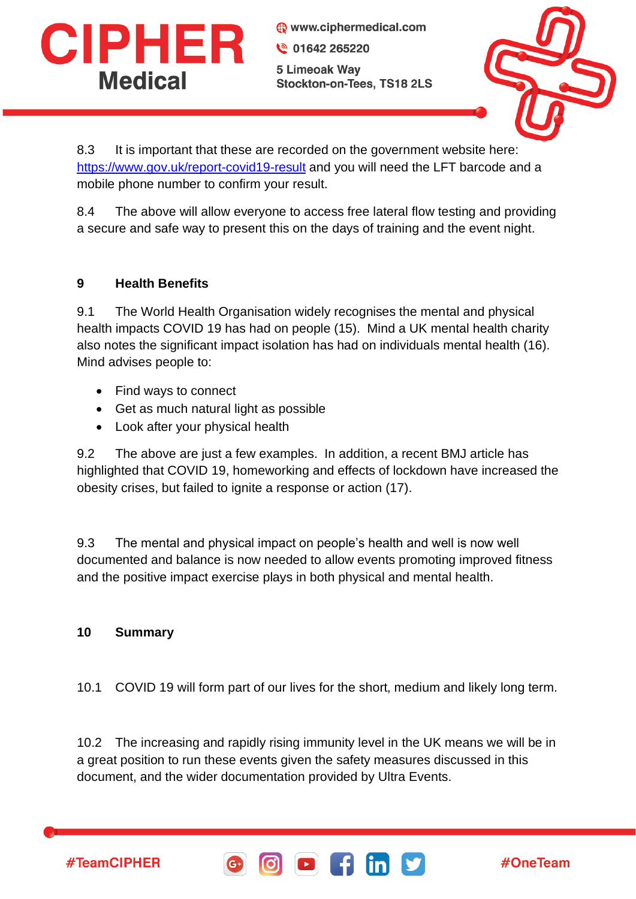

www.ciphermedical.com € 01642 265220 5 Limeoak Way Stockton-on-Tees, TS18 2LS



8.3 It is important that these are recorded on the government website here: <https://www.gov.uk/report-covid19-result> and you will need the LFT barcode and a mobile phone number to confirm your result.

8.4 The above will allow everyone to access free lateral flow testing and providing a secure and safe way to present this on the days of training and the event night.

### **9 Health Benefits**

9.1 The World Health Organisation widely recognises the mental and physical health impacts COVID 19 has had on people (15). Mind a UK mental health charity also notes the significant impact isolation has had on individuals mental health (16). Mind advises people to:

- Find ways to connect
- Get as much natural light as possible
- Look after your physical health

9.2 The above are just a few examples. In addition, a recent BMJ article has highlighted that COVID 19, homeworking and effects of lockdown have increased the obesity crises, but failed to ignite a response or action (17).

9.3 The mental and physical impact on people's health and well is now well documented and balance is now needed to allow events promoting improved fitness and the positive impact exercise plays in both physical and mental health.

### **10 Summary**

#TeamCIPHER

10.1 COVID 19 will form part of our lives for the short, medium and likely long term.

10.2 The increasing and rapidly rising immunity level in the UK means we will be in a great position to run these events given the safety measures discussed in this document, and the wider documentation provided by Ultra Events.



#OneTeam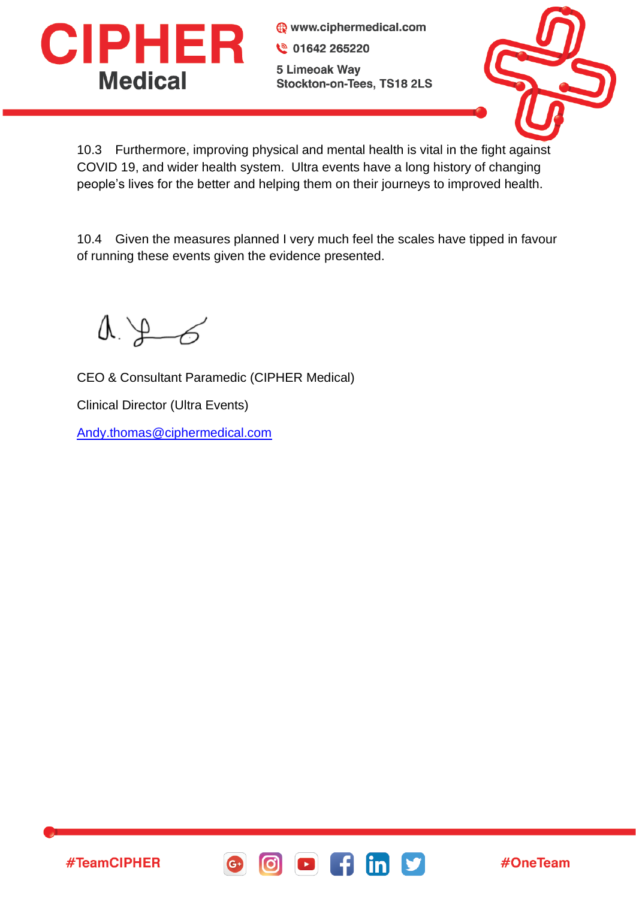

www.ciphermedical.com ₩ 01642 265220 5 Limeoak Way Stockton-on-Tees, TS18 2LS



10.3 Furthermore, improving physical and mental health is vital in the fight against COVID 19, and wider health system. Ultra events have a long history of changing people's lives for the better and helping them on their journeys to improved health.

10.4 Given the measures planned I very much feel the scales have tipped in favour of running these events given the evidence presented.

 $\Lambda \downarrow 6$ 

CEO & Consultant Paramedic (CIPHER Medical)

Clinical Director (Ultra Events)

[Andy.thomas@ciphermedical.com](mailto:Andy.thomas@ciphermedical.com)